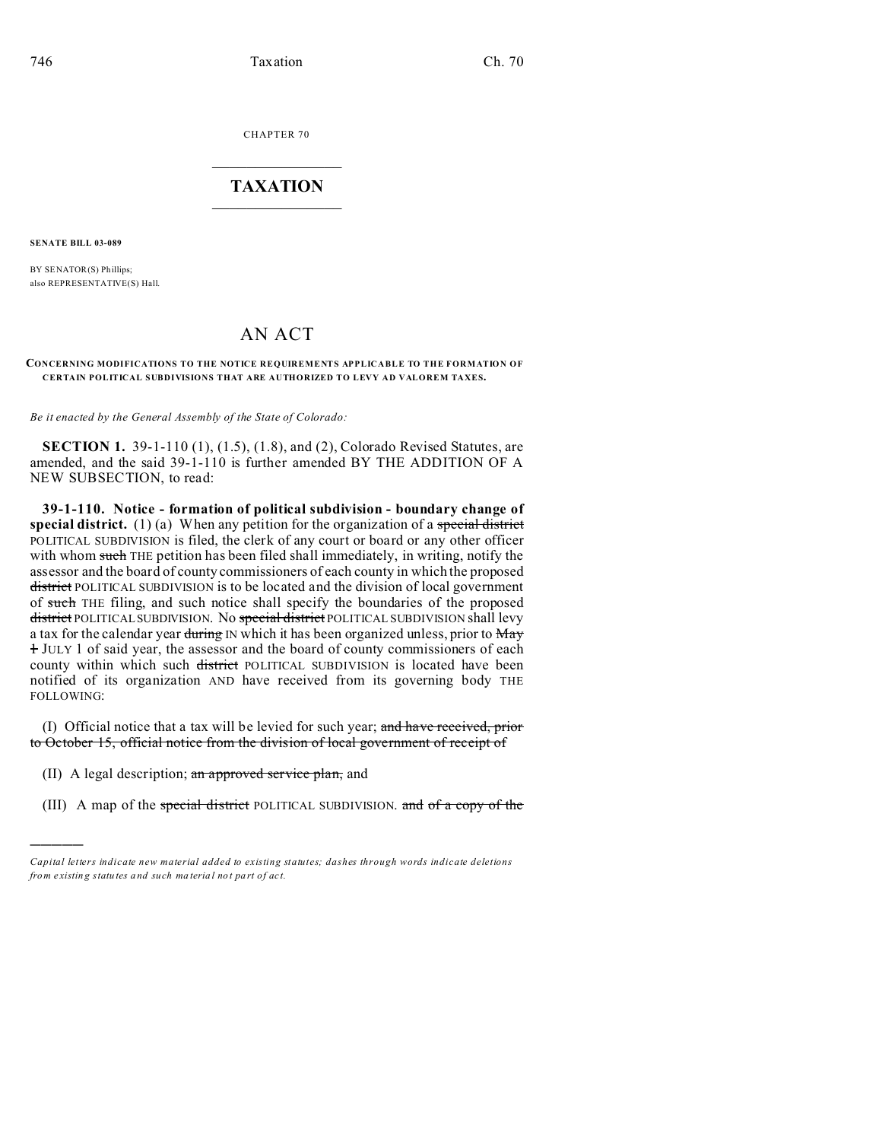CHAPTER 70  $\overline{\phantom{a}}$  , where  $\overline{\phantom{a}}$ 

## **TAXATION**  $\_$

**SENATE BILL 03-089**

)))))

BY SENATOR(S) Phillips; also REPRESENTATIVE(S) Hall.

## AN ACT

## **CONCERNING MODIFICATIONS TO THE NOTICE REQUIREMENTS APPLICABLE TO THE FORMATION OF CERTAIN POLITICAL SUBDIVISIONS THAT ARE AUTHORIZED TO LEVY AD VALOREM TAXES.**

*Be it enacted by the General Assembly of the State of Colorado:*

**SECTION 1.** 39-1-110 (1), (1.5), (1.8), and (2), Colorado Revised Statutes, are amended, and the said 39-1-110 is further amended BY THE ADDITION OF A NEW SUBSECTION, to read:

**39-1-110. Notice - formation of political subdivision - boundary change of special district.** (1) (a) When any petition for the organization of a special district POLITICAL SUBDIVISION is filed, the clerk of any court or board or any other officer with whom such THE petition has been filed shall immediately, in writing, notify the assessor and the board of county commissioners of each county in which the proposed district POLITICAL SUBDIVISION is to be located and the division of local government of such THE filing, and such notice shall specify the boundaries of the proposed district POLITICAL SUBDIVISION. No special district POLITICAL SUBDIVISION shall levy a tax for the calendar year during IN which it has been organized unless, prior to May 1 JULY 1 of said year, the assessor and the board of county commissioners of each county within which such district POLITICAL SUBDIVISION is located have been notified of its organization AND have received from its governing body THE FOLLOWING:

(I) Official notice that a tax will be levied for such year; and have received, prior to October 15, official notice from the division of local government of receipt of

- (II) A legal description; an approved service plan, and
- (III) A map of the special district POLITICAL SUBDIVISION. and of a copy of the

*Capital letters indicate new material added to existing statutes; dashes through words indicate deletions from e xistin g statu tes a nd such ma teria l no t pa rt of ac t.*